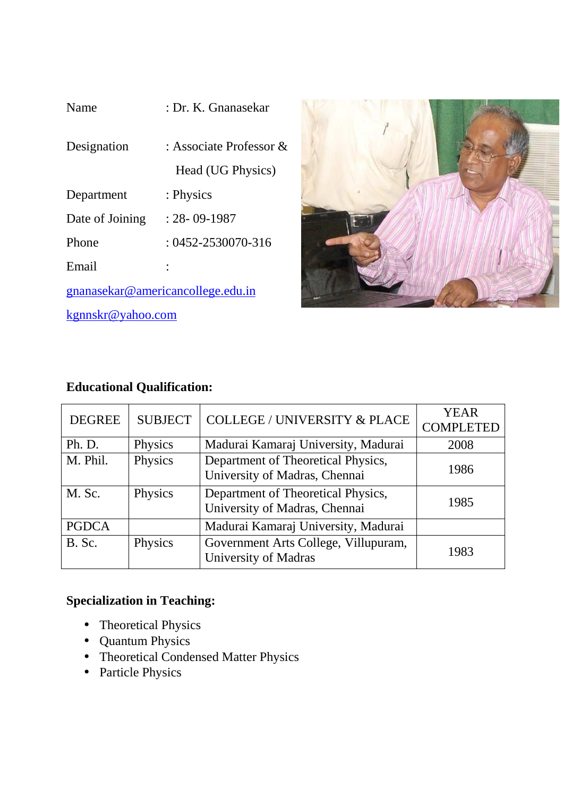| Name                              | : Dr. K. Gnanasekar                             |  |
|-----------------------------------|-------------------------------------------------|--|
| Designation                       | : Associate Professor $\&$<br>Head (UG Physics) |  |
| Department                        | : Physics                                       |  |
| Date of Joining                   | $: 28 - 09 - 1987$                              |  |
| Phone                             | $: 0452 - 2530070 - 316$                        |  |
| Email                             |                                                 |  |
| gnanasekar@americancollege.edu.in |                                                 |  |
| kgnnskr@yahoo.com                 |                                                 |  |



# **Educational Qualification:**

| <b>DEGREE</b> | <b>SUBJECT</b> | <b>COLLEGE / UNIVERSITY &amp; PLACE</b>                             | <b>YEAR</b><br><b>COMPLETED</b> |
|---------------|----------------|---------------------------------------------------------------------|---------------------------------|
| Ph. D.        | Physics        | Madurai Kamaraj University, Madurai                                 | 2008                            |
| M. Phil.      | Physics        | Department of Theoretical Physics,<br>University of Madras, Chennai | 1986                            |
| M. Sc.        | Physics        | Department of Theoretical Physics,<br>University of Madras, Chennai | 1985                            |
| <b>PGDCA</b>  |                | Madurai Kamaraj University, Madurai                                 |                                 |
| B. Sc.        | Physics        | Government Arts College, Villupuram,<br><b>University of Madras</b> | 1983                            |

# **Specialization in Teaching:**

- Theoretical Physics
- Quantum Physics
- Theoretical Condensed Matter Physics
- Particle Physics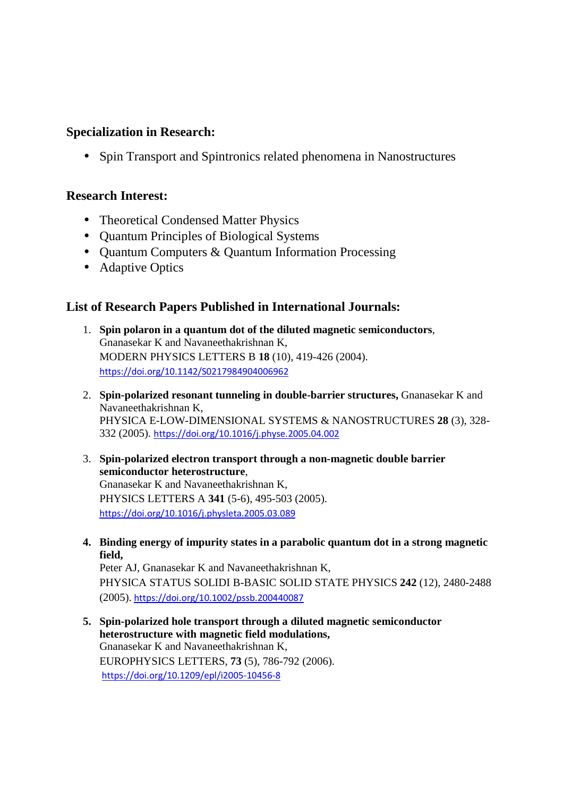## **Specialization in Research:**

• Spin Transport and Spintronics related phenomena in Nanostructures

### **Research Interest:**

- Theoretical Condensed Matter Physics
- Quantum Principles of Biological Systems
- Quantum Computers & Quantum Information Processing
- Adaptive Optics

# **List of Research Papers Published in International Journals:**

- 1. **Spin polaron in a quantum dot of the diluted magnetic semiconductors**, Gnanasekar K and Navaneethakrishnan K, MODERN PHYSICS LETTERS B **18** (10), 419-426 (2004). https://doi.org/10.1142/S0217984904006962
- 2. **Spin-polarized resonant tunneling in double-barrier structures,** Gnanasekar K and Navaneethakrishnan K, PHYSICA E-LOW-DIMENSIONAL SYSTEMS & NANOSTRUCTURES **28** (3), 328- 332 (2005). https://doi.org/10.1016/j.physe.2005.04.002
- 3. **Spin-polarized electron transport through a non-magnetic double barrier semiconductor heterostructure**, Gnanasekar K and Navaneethakrishnan K, PHYSICS LETTERS A **341** (5-6), 495-503 (2005). https://doi.org/10.1016/j.physleta.2005.03.089
- **4. Binding energy of impurity states in a parabolic quantum dot in a strong magnetic field,**

Peter AJ, Gnanasekar K and Navaneethakrishnan K, PHYSICA STATUS SOLIDI B-BASIC SOLID STATE PHYSICS **242** (12), 2480-2488 (2005). https://doi.org/10.1002/pssb.200440087

**5. Spin-polarized hole transport through a diluted magnetic semiconductor heterostructure with magnetic field modulations,**  Gnanasekar K and Navaneethakrishnan K, EUROPHYSICS LETTERS, **73** (5), 786-792 (2006). https://doi.org/10.1209/epl/i2005-10456-8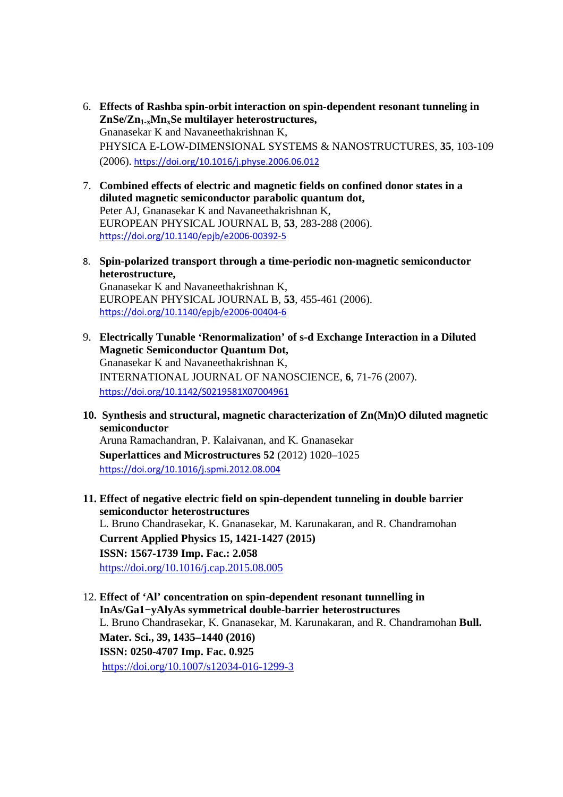- 6. **Effects of Rashba spin-orbit interaction on spin-dependent resonant tunneling in ZnSe/Zn1-xMnxSe multilayer heterostructures,** Gnanasekar K and Navaneethakrishnan K, PHYSICA E-LOW-DIMENSIONAL SYSTEMS & NANOSTRUCTURES, **35**, 103-109 (2006). https://doi.org/10.1016/j.physe.2006.06.012
- 7. **Combined effects of electric and magnetic fields on confined donor states in a diluted magnetic semiconductor parabolic quantum dot,** Peter AJ, Gnanasekar K and Navaneethakrishnan K, EUROPEAN PHYSICAL JOURNAL B, **53**, 283-288 (2006). https://doi.org/10.1140/epjb/e2006-00392-5
- 8. **Spin-polarized transport through a time-periodic non-magnetic semiconductor heterostructure,** Gnanasekar K and Navaneethakrishnan K, EUROPEAN PHYSICAL JOURNAL B, **53**, 455-461 (2006). https://doi.org/10.1140/epjb/e2006-00404-6
- 9. **Electrically Tunable 'Renormalization' of s-d Exchange Interaction in a Diluted Magnetic Semiconductor Quantum Dot,** Gnanasekar K and Navaneethakrishnan K, INTERNATIONAL JOURNAL OF NANOSCIENCE, **6**, 71-76 (2007). https://doi.org/10.1142/S0219581X07004961
- **10. Synthesis and structural, magnetic characterization of Zn(Mn)O diluted magnetic semiconductor**  Aruna Ramachandran, P. Kalaivanan, and K. Gnanasekar **Superlattices and Microstructures 52** (2012) 1020–1025 https://doi.org/10.1016/j.spmi.2012.08.004
- **11. Effect of negative electric field on spin-dependent tunneling in double barrier semiconductor heterostructures**  L. Bruno Chandrasekar, K. Gnanasekar, M. Karunakaran, and R. Chandramohan **Current Applied Physics 15, 1421-1427 (2015) ISSN: 1567-1739 Imp. Fac.: 2.058**  https://doi.org/10.1016/j.cap.2015.08.005
- 12. **Effect of 'Al' concentration on spin-dependent resonant tunnelling in InAs/Ga1−yAlyAs symmetrical double-barrier heterostructures** L. Bruno Chandrasekar, K. Gnanasekar, M. Karunakaran, and R. Chandramohan **Bull. Mater. Sci., 39, 1435–1440 (2016) ISSN: 0250-4707 Imp. Fac. 0.925**  https://doi.org/10.1007/s12034-016-1299-3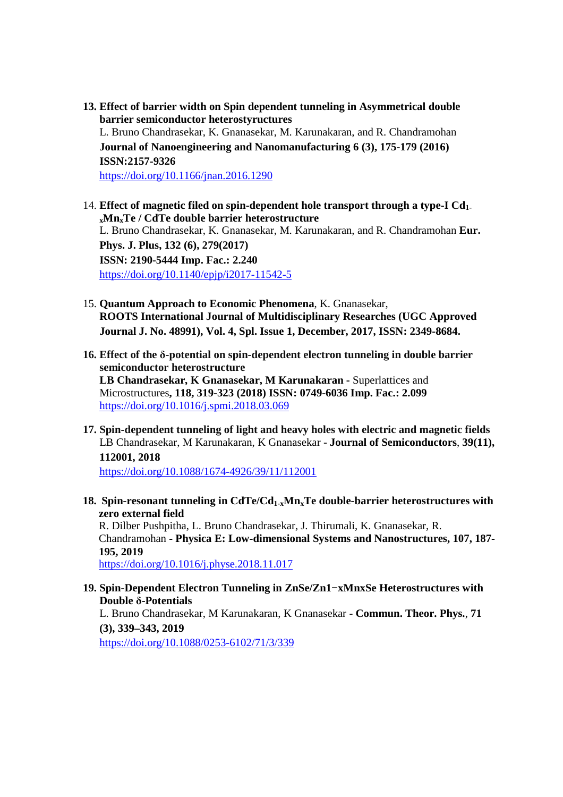- **13. Effect of barrier width on Spin dependent tunneling in Asymmetrical double barrier semiconductor heterostyructures**  L. Bruno Chandrasekar, K. Gnanasekar, M. Karunakaran, and R. Chandramohan **Journal of Nanoengineering and Nanomanufacturing 6 (3), 175-179 (2016) ISSN:2157-9326**  https://doi.org/10.1166/jnan.2016.1290
- 14. **Effect of magnetic filed on spin-dependent hole transport through a type-I Cd1 <sup>x</sup>MnxTe / CdTe double barrier heterostructure** L. Bruno Chandrasekar, K. Gnanasekar, M. Karunakaran, and R. Chandramohan **Eur. Phys. J. Plus, 132 (6), 279(2017) ISSN: 2190-5444 Imp. Fac.: 2.240**  https://doi.org/10.1140/epjp/i2017-11542-5
- 15. **Quantum Approach to Economic Phenomena**, K. Gnanasekar, **ROOTS International Journal of Multidisciplinary Researches (UGC Approved Journal J. No. 48991), Vol. 4, Spl. Issue 1, December, 2017, ISSN: 2349-8684.**
- **16. Effect of the δ-potential on spin-dependent electron tunneling in double barrier semiconductor heterostructure LB Chandrasekar, K Gnanasekar, M Karunakaran -** Superlattices and Microstructures**, 118, 319-323 (2018) ISSN: 0749-6036 Imp. Fac.: 2.099**  https://doi.org/10.1016/j.spmi.2018.03.069
- **17. Spin-dependent tunneling of light and heavy holes with electric and magnetic fields**  LB Chandrasekar, M Karunakaran, K Gnanasekar - **Journal of Semiconductors**, **39(11), 112001, 2018**

https://doi.org/10.1088/1674-4926/39/11/112001

**18. Spin-resonant tunneling in CdTe/Cd1-xMnxTe double-barrier heterostructures with zero external field** 

R. Dilber Pushpitha, L. Bruno Chandrasekar, J. Thirumali, K. Gnanasekar, R. Chandramohan **- Physica E: Low-dimensional Systems and Nanostructures, 107, 187- 195, 2019** 

https://doi.org/10.1016/j.physe.2018.11.017

#### **19. Spin-Dependent Electron Tunneling in ZnSe/Zn1−xMnxSe Heterostructures with Double δ-Potentials**

L. Bruno Chandrasekar, M Karunakaran, K Gnanasekar - **Commun. Theor. Phys.**, **71 (3), 339–343, 2019** 

https://doi.org/10.1088/0253-6102/71/3/339